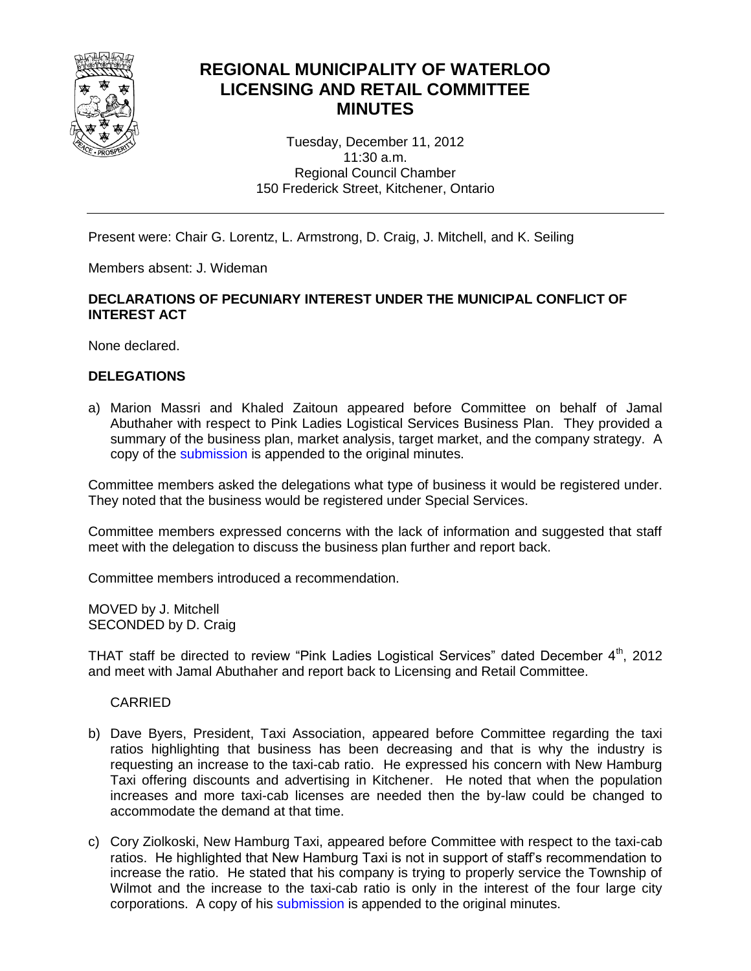

# **REGIONAL MUNICIPALITY OF WATERLOO LICENSING AND RETAIL COMMITTEE MINUTES**

Tuesday, December 11, 2012 11:30 a.m. Regional Council Chamber 150 Frederick Street, Kitchener, Ontario

Present were: Chair G. Lorentz, L. Armstrong, D. Craig, J. Mitchell, and K. Seiling

Members absent: J. Wideman

# **DECLARATIONS OF PECUNIARY INTEREST UNDER THE MUNICIPAL CONFLICT OF INTEREST ACT**

None declared.

# **DELEGATIONS**

a) Marion Massri and Khaled Zaitoun appeared before Committee on behalf of Jamal Abuthaher with respect to Pink Ladies Logistical Services Business Plan. They provided a summary of the business plan, market analysis, target market, and the company strategy. A copy of the [submission](#page-3-0) is appended to the original minutes.

Committee members asked the delegations what type of business it would be registered under. They noted that the business would be registered under Special Services.

Committee members expressed concerns with the lack of information and suggested that staff meet with the delegation to discuss the business plan further and report back.

Committee members introduced a recommendation.

MOVED by J. Mitchell SECONDED by D. Craig

THAT staff be directed to review "Pink Ladies Logistical Services" dated December 4<sup>th</sup>, 2012 and meet with Jamal Abuthaher and report back to Licensing and Retail Committee.

CARRIED

- b) Dave Byers, President, Taxi Association, appeared before Committee regarding the taxi ratios highlighting that business has been decreasing and that is why the industry is requesting an increase to the taxi-cab ratio. He expressed his concern with New Hamburg Taxi offering discounts and advertising in Kitchener. He noted that when the population increases and more taxi-cab licenses are needed then the by-law could be changed to accommodate the demand at that time.
- c) Cory Ziolkoski, New Hamburg Taxi, appeared before Committee with respect to the taxi-cab ratios. He highlighted that New Hamburg Taxi is not in support of staff's recommendation to increase the ratio. He stated that his company is trying to properly service the Township of Wilmot and the increase to the taxi-cab ratio is only in the interest of the four large city corporations. A copy of his [submission](#page-12-0) is appended to the original minutes.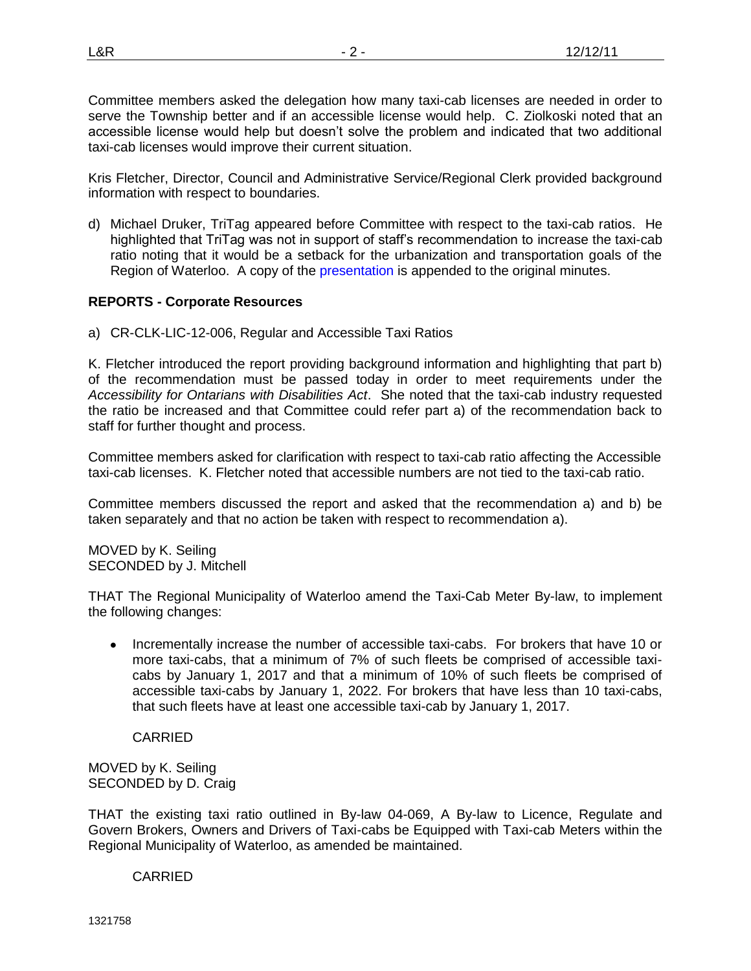Committee members asked the delegation how many taxi-cab licenses are needed in order to serve the Township better and if an accessible license would help. C. Ziolkoski noted that an accessible license would help but doesn't solve the problem and indicated that two additional taxi-cab licenses would improve their current situation.

Kris Fletcher, Director, Council and Administrative Service/Regional Clerk provided background information with respect to boundaries.

d) Michael Druker, TriTag appeared before Committee with respect to the taxi-cab ratios. He highlighted that TriTag was not in support of staff's recommendation to increase the taxi-cab ratio noting that it would be a setback for the urbanization and transportation goals of the Region of Waterloo. A copy of the [presentation](#page-13-0) is appended to the original minutes.

# **REPORTS - Corporate Resources**

a) CR-CLK-LIC-12-006, Regular and Accessible Taxi Ratios

K. Fletcher introduced the report providing background information and highlighting that part b) of the recommendation must be passed today in order to meet requirements under the *Accessibility for Ontarians with Disabilities Act*. She noted that the taxi-cab industry requested the ratio be increased and that Committee could refer part a) of the recommendation back to staff for further thought and process.

Committee members asked for clarification with respect to taxi-cab ratio affecting the Accessible taxi-cab licenses. K. Fletcher noted that accessible numbers are not tied to the taxi-cab ratio.

Committee members discussed the report and asked that the recommendation a) and b) be taken separately and that no action be taken with respect to recommendation a).

MOVED by K. Seiling SECONDED by J. Mitchell

THAT The Regional Municipality of Waterloo amend the Taxi-Cab Meter By-law, to implement the following changes:

 Incrementally increase the number of accessible taxi-cabs. For brokers that have 10 or more taxi-cabs, that a minimum of 7% of such fleets be comprised of accessible taxicabs by January 1, 2017 and that a minimum of 10% of such fleets be comprised of accessible taxi-cabs by January 1, 2022. For brokers that have less than 10 taxi-cabs, that such fleets have at least one accessible taxi-cab by January 1, 2017.

CARRIED

### MOVED by K. Seiling SECONDED by D. Craig

THAT the existing taxi ratio outlined in By-law 04-069, A By-law to Licence, Regulate and Govern Brokers, Owners and Drivers of Taxi-cabs be Equipped with Taxi-cab Meters within the Regional Municipality of Waterloo, as amended be maintained.

# CARRIED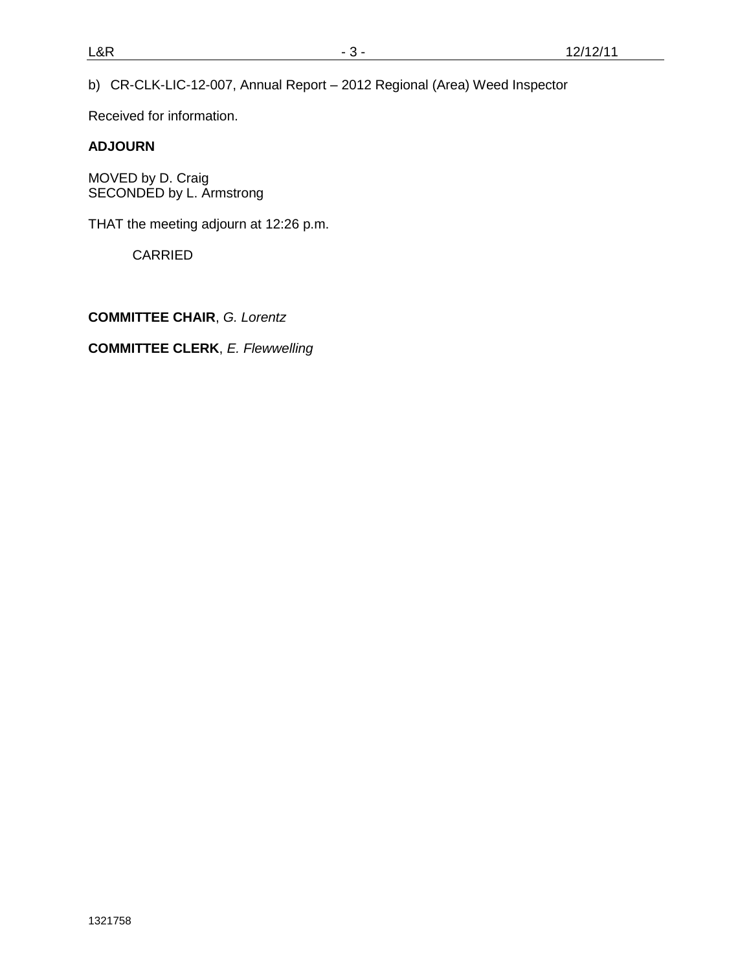b) CR-CLK-LIC-12-007, Annual Report – 2012 Regional (Area) Weed Inspector

Received for information.

# **ADJOURN**

MOVED by D. Craig SECONDED by L. Armstrong

THAT the meeting adjourn at 12:26 p.m.

CARRIED

**COMMITTEE CHAIR**, *G. Lorentz*

**COMMITTEE CLERK**, *E. Flewwelling*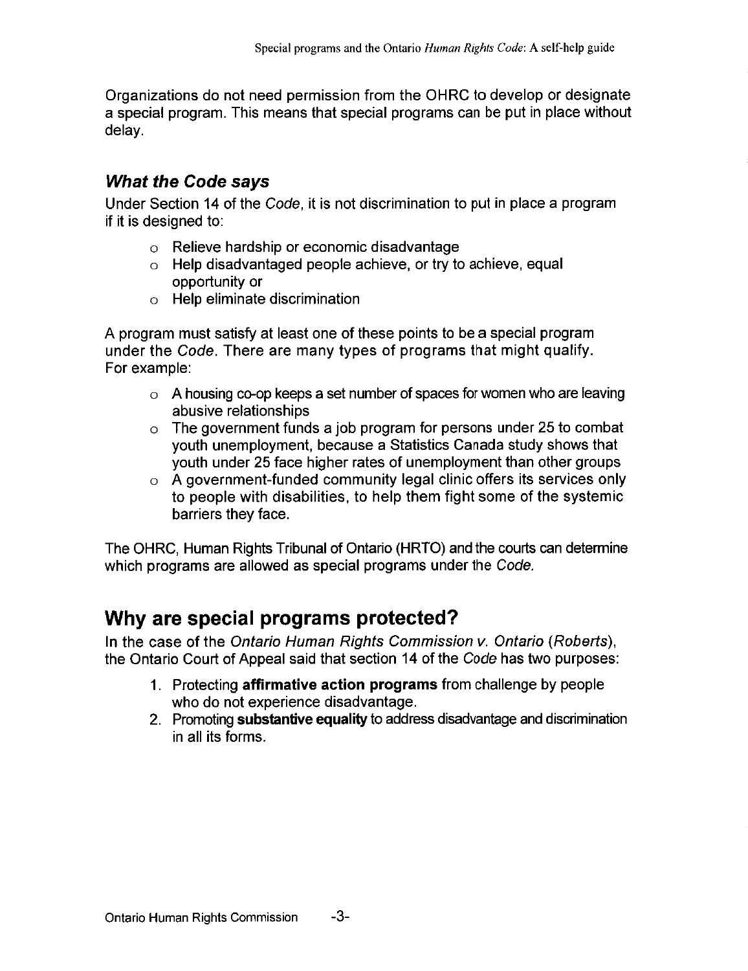Organizations do not need permission from the OHRC to develop or designate a special program. This means that special programs can be put in place without delay.

# **What the Code says**

Under Section 14 of the Code, it is not discrimination to put in place a program if it is designed to:

- $\circ$  Relieve hardship or economic disadvantage
- $\circ$  Help disadvantaged people achieve, or try to achieve, equal opportunity or
- o Help eliminate discrimination

A program must satisfy at least one of these points to be a special program under the Code. There are many types of programs that might qualify. For example:

- $\circ$  A housing co-op keeps a set number of spaces for women who are leaving abusive relationships
- $\circ$  The government funds a job program for persons under 25 to combat vouth unemployment, because a Statistics Canada study shows that youth under 25 face higher rates of unemployment than other groups
- $\circ$  A government-funded community legal clinic offers its services only to people with disabilities, to help them fight some of the systemic barriers they face.

The OHRC, Human Rights Tribunal of Ontario (HRTO) and the courts can determine which programs are allowed as special programs under the Code.

# Why are special programs protected?

In the case of the Ontario Human Rights Commission v. Ontario (Roberts), the Ontario Court of Appeal said that section 14 of the Code has two purposes:

- 1. Protecting affirmative action programs from challenge by people who do not experience disadvantage.
- 2. Promoting substantive equality to address disadvantage and discrimination in all its forms.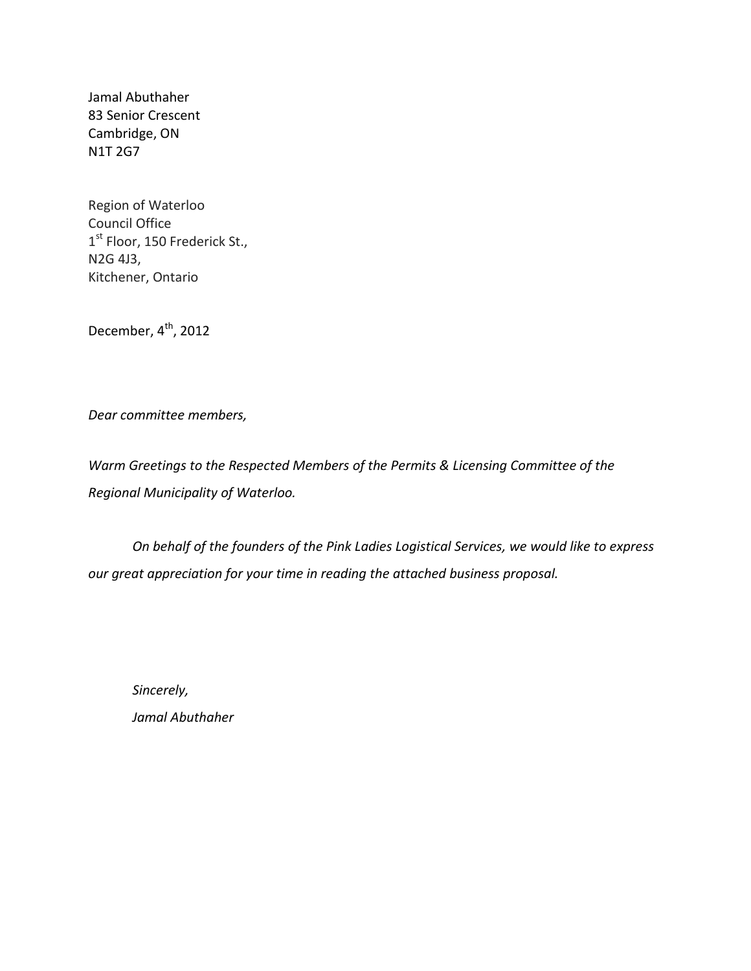Jamal Abuthaher 83 Senior Crescent Cambridge, ON N1T 2G7

Region of Waterloo Council Office  $1<sup>st</sup>$  Floor, 150 Frederick St., N2G 4J3, Kitchener, Ontario

December,  $4^{\text{th}}$ , 2012

*Dear committee members,*

*Warm Greetings to the Respected Members of the Permits & Licensing Committee of the Regional Municipality of Waterloo.*

*On behalf of the founders of the Pink Ladies Logistical Services, we would like to express our great appreciation for your time in reading the attached business proposal.* 

*Sincerely, Jamal Abuthaher*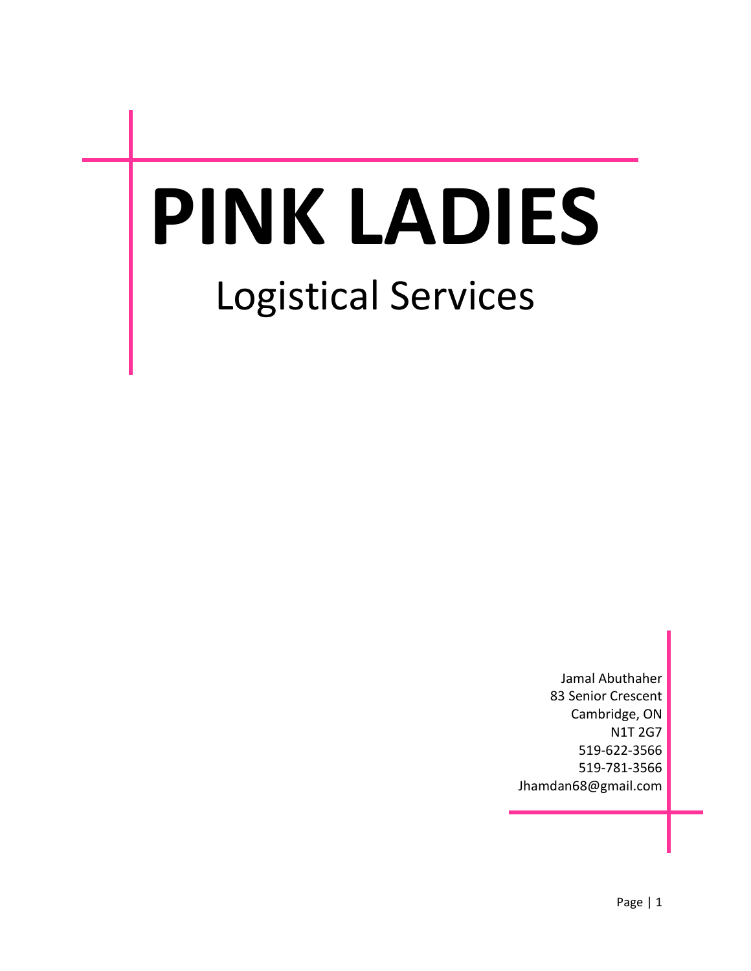# **PINK LADIES** Logistical Services

Jamal Abuthaher 83 Senior Crescent Cambridge, ON N1T 2G7 519-622-3566 519-781-3566 [Jhamdan68@gmail.com](mailto:Jhamdan68@gmail.com)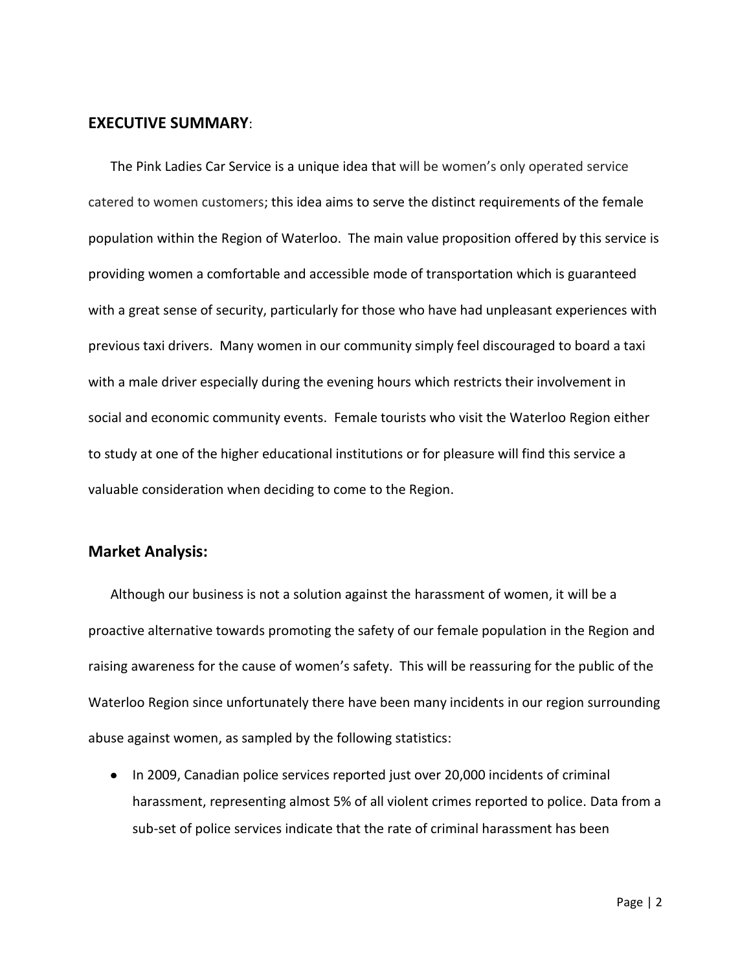# **EXECUTIVE SUMMARY**:

The Pink Ladies Car Service is a unique idea that will be women's only operated service catered to women customers; this idea aims to serve the distinct requirements of the female population within the Region of Waterloo. The main value proposition offered by this service is providing women a comfortable and accessible mode of transportation which is guaranteed with a great sense of security, particularly for those who have had unpleasant experiences with previous taxi drivers. Many women in our community simply feel discouraged to board a taxi with a male driver especially during the evening hours which restricts their involvement in social and economic community events. Female tourists who visit the Waterloo Region either to study at one of the higher educational institutions or for pleasure will find this service a valuable consideration when deciding to come to the Region.

# **Market Analysis:**

Although our business is not a solution against the harassment of women, it will be a proactive alternative towards promoting the safety of our female population in the Region and raising awareness for the cause of women's safety. This will be reassuring for the public of the Waterloo Region since unfortunately there have been many incidents in our region surrounding abuse against women, as sampled by the following statistics:

• In 2009, Canadian police services reported just over 20,000 incidents of criminal harassment, representing almost 5% of all violent crimes reported to police. Data from a sub-set of police services indicate that the rate of criminal harassment has been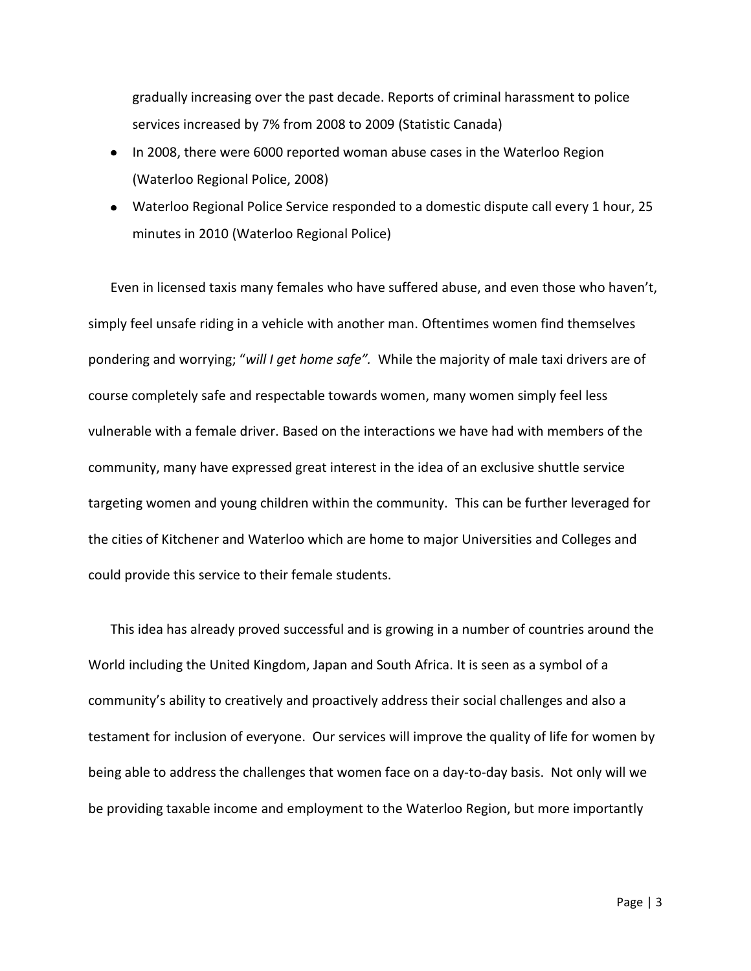gradually increasing over the past decade. Reports of criminal harassment to police services increased by 7% from 2008 to 2009 (Statistic Canada)

- In 2008, there were 6000 reported woman abuse cases in the Waterloo Region (Waterloo Regional Police, 2008)
- Waterloo Regional Police Service responded to a domestic dispute call every 1 hour, 25 minutes in 2010 (Waterloo Regional Police)

Even in licensed taxis many females who have suffered abuse, and even those who haven't, simply feel unsafe riding in a vehicle with another man. Oftentimes women find themselves pondering and worrying; "*will I get home safe".* While the majority of male taxi drivers are of course completely safe and respectable towards women, many women simply feel less vulnerable with a female driver. Based on the interactions we have had with members of the community, many have expressed great interest in the idea of an exclusive shuttle service targeting women and young children within the community. This can be further leveraged for the cities of Kitchener and Waterloo which are home to major Universities and Colleges and could provide this service to their female students.

This idea has already proved successful and is growing in a number of countries around the World including the United Kingdom, Japan and South Africa. It is seen as a symbol of a community's ability to creatively and proactively address their social challenges and also a testament for inclusion of everyone. Our services will improve the quality of life for women by being able to address the challenges that women face on a day-to-day basis. Not only will we be providing taxable income and employment to the Waterloo Region, but more importantly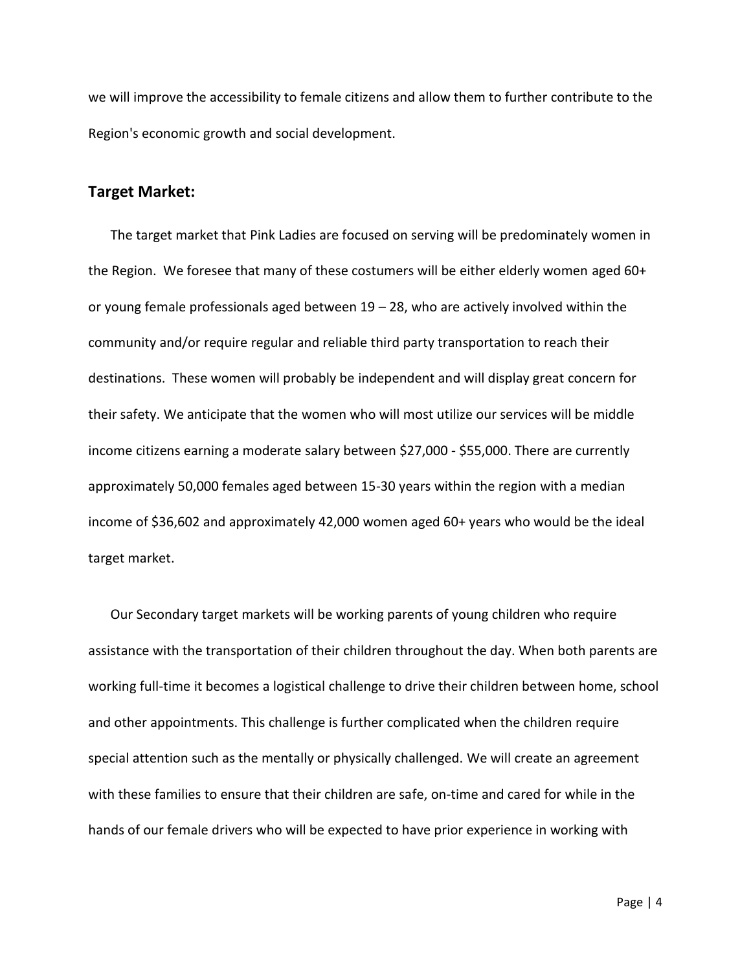we will improve the accessibility to female citizens and allow them to further contribute to the Region's economic growth and social development.

# **Target Market:**

The target market that Pink Ladies are focused on serving will be predominately women in the Region. We foresee that many of these costumers will be either elderly women aged 60+ or young female professionals aged between  $19 - 28$ , who are actively involved within the community and/or require regular and reliable third party transportation to reach their destinations. These women will probably be independent and will display great concern for their safety. We anticipate that the women who will most utilize our services will be middle income citizens earning a moderate salary between \$27,000 - \$55,000. There are currently approximately 50,000 females aged between 15-30 years within the region with a median income of \$36,602 and approximately 42,000 women aged 60+ years who would be the ideal target market.

Our Secondary target markets will be working parents of young children who require assistance with the transportation of their children throughout the day. When both parents are working full-time it becomes a logistical challenge to drive their children between home, school and other appointments. This challenge is further complicated when the children require special attention such as the mentally or physically challenged. We will create an agreement with these families to ensure that their children are safe, on-time and cared for while in the hands of our female drivers who will be expected to have prior experience in working with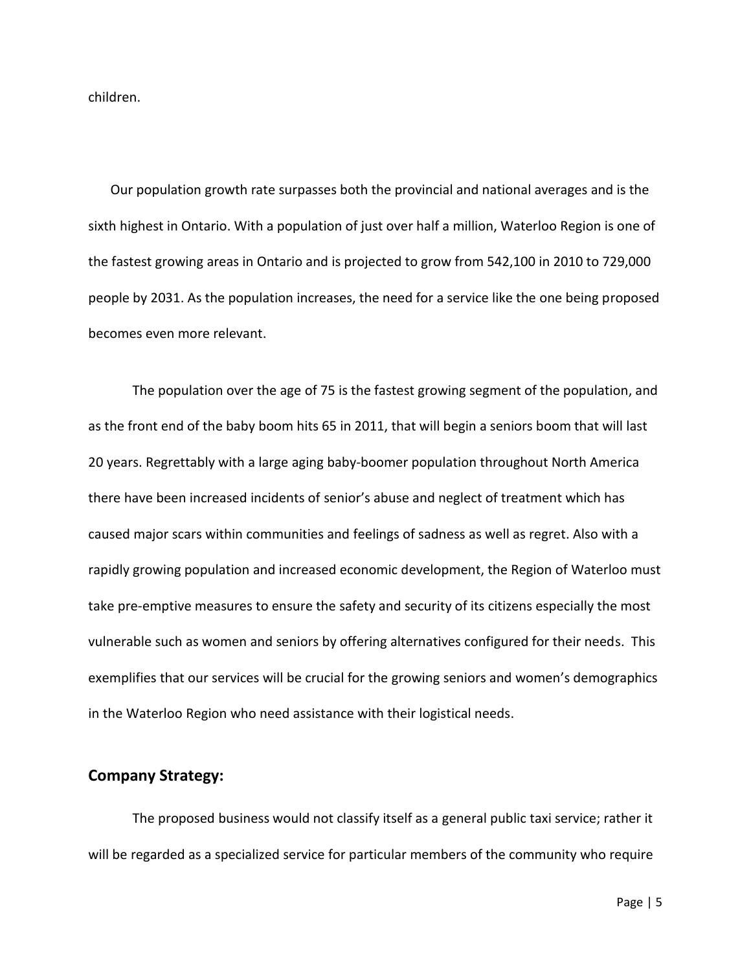children.

Our population growth rate surpasses both the provincial and national averages and is the sixth highest in Ontario. With a population of just over half a million, Waterloo Region is one of the fastest growing areas in Ontario and is projected to grow from 542,100 in 2010 to 729,000 people by 2031. As the population increases, the need for a service like the one being proposed becomes even more relevant.

The population over the age of 75 is the fastest growing segment of the population, and as the front end of the baby boom hits 65 in 2011, that will begin a seniors boom that will last 20 years. Regrettably with a large aging baby-boomer population throughout North America there have been increased incidents of senior's abuse and neglect of treatment which has caused major scars within communities and feelings of sadness as well as regret. Also with a rapidly growing population and increased economic development, the Region of Waterloo must take pre-emptive measures to ensure the safety and security of its citizens especially the most vulnerable such as women and seniors by offering alternatives configured for their needs. This exemplifies that our services will be crucial for the growing seniors and women's demographics in the Waterloo Region who need assistance with their logistical needs.

## **Company Strategy:**

The proposed business would not classify itself as a general public taxi service; rather it will be regarded as a specialized service for particular members of the community who require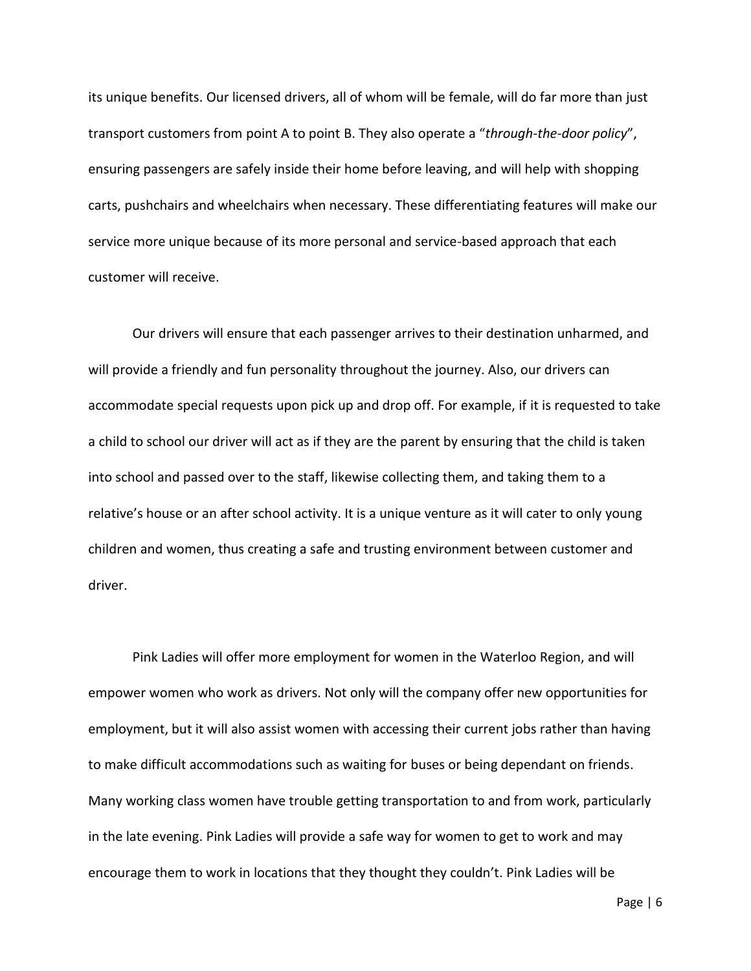its unique benefits. Our licensed drivers, all of whom will be female, will do far more than just transport customers from point A to point B. They also operate a "*through-the-door policy*", ensuring passengers are safely inside their home before leaving, and will help with shopping carts, pushchairs and wheelchairs when necessary. These differentiating features will make our service more unique because of its more personal and service-based approach that each customer will receive.

Our drivers will ensure that each passenger arrives to their destination unharmed, and will provide a friendly and fun personality throughout the journey. Also, our drivers can accommodate special requests upon pick up and drop off. For example, if it is requested to take a child to school our driver will act as if they are the parent by ensuring that the child is taken into school and passed over to the staff, likewise collecting them, and taking them to a relative's house or an after school activity. It is a unique venture as it will cater to only young children and women, thus creating a safe and trusting environment between customer and driver.

Pink Ladies will offer more employment for women in the Waterloo Region, and will empower women who work as drivers. Not only will the company offer new opportunities for employment, but it will also assist women with accessing their current jobs rather than having to make difficult accommodations such as waiting for buses or being dependant on friends. Many working class women have trouble getting transportation to and from work, particularly in the late evening. Pink Ladies will provide a safe way for women to get to work and may encourage them to work in locations that they thought they couldn't. Pink Ladies will be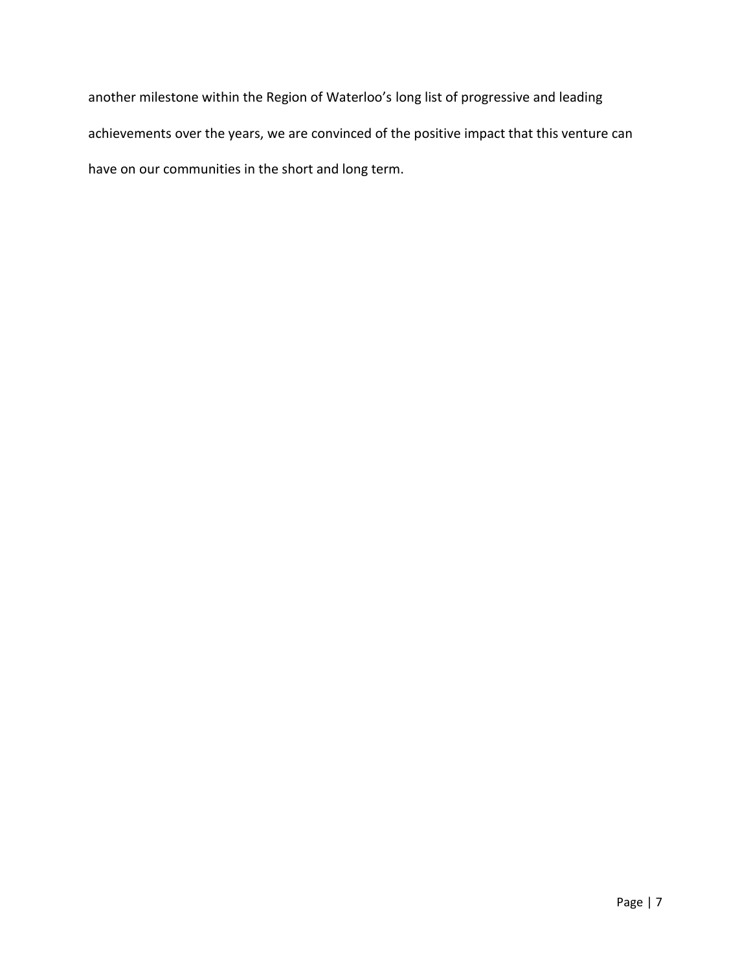another milestone within the Region of Waterloo's long list of progressive and leading achievements over the years, we are convinced of the positive impact that this venture can have on our communities in the short and long term.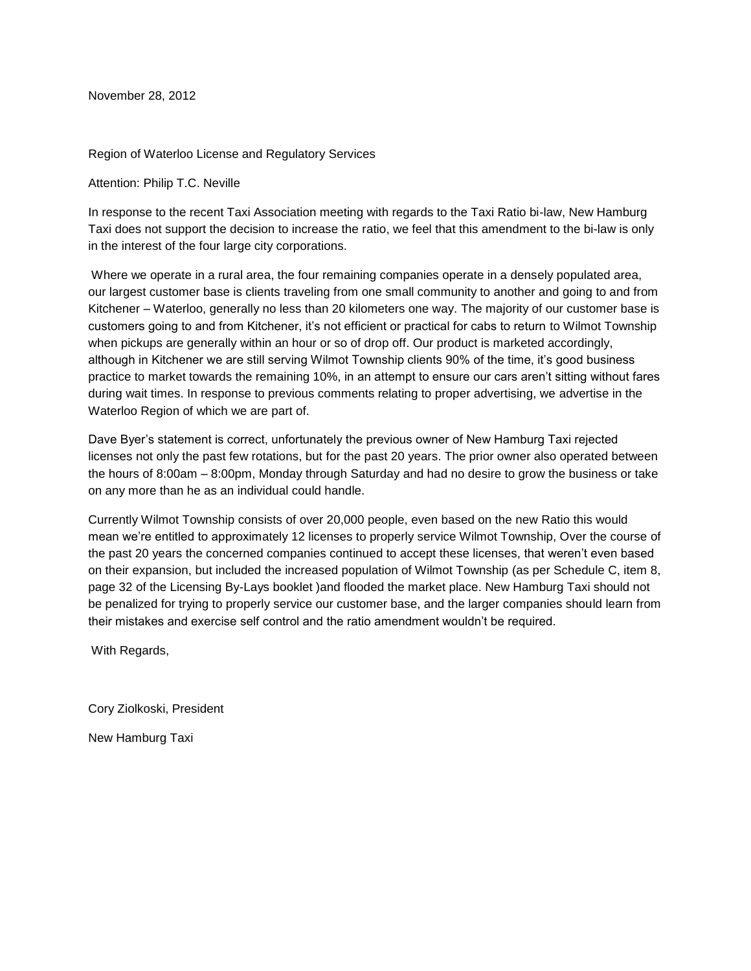<span id="page-12-0"></span>November 28, 2012

Region of Waterloo License and Regulatory Services

Attention: Philip T.C. Neville

In response to the recent Taxi Association meeting with regards to the Taxi Ratio bi-law, New Hamburg Taxi does not support the decision to increase the ratio, we feel that this amendment to the bi-law is only in the interest of the four large city corporations.

Where we operate in a rural area, the four remaining companies operate in a densely populated area, our largest customer base is clients traveling from one small community to another and going to and from Kitchener – Waterloo, generally no less than 20 kilometers one way. The majority of our customer base is customers going to and from Kitchener, it's not efficient or practical for cabs to return to Wilmot Township when pickups are generally within an hour or so of drop off. Our product is marketed accordingly, although in Kitchener we are still serving Wilmot Township clients 90% of the time, it's good business practice to market towards the remaining 10%, in an attempt to ensure our cars aren't sitting without fares during wait times. In response to previous comments relating to proper advertising, we advertise in the Waterloo Region of which we are part of.

Dave Byer's statement is correct, unfortunately the previous owner of New Hamburg Taxi rejected licenses not only the past few rotations, but for the past 20 years. The prior owner also operated between the hours of 8:00am – 8:00pm, Monday through Saturday and had no desire to grow the business or take on any more than he as an individual could handle.

Currently Wilmot Township consists of over 20,000 people, even based on the new Ratio this would mean we're entitled to approximately 12 licenses to properly service Wilmot Township, Over the course of the past 20 years the concerned companies continued to accept these licenses, that weren't even based on their expansion, but included the increased population of Wilmot Township (as per Schedule C, item 8, page 32 of the Licensing By-Lays booklet )and flooded the market place. New Hamburg Taxi should not be penalized for trying to properly service our customer base, and the larger companies should learn from their mistakes and exercise self control and the ratio amendment wouldn't be required.

With Regards,

Cory Ziolkoski, President

New Hamburg Taxi